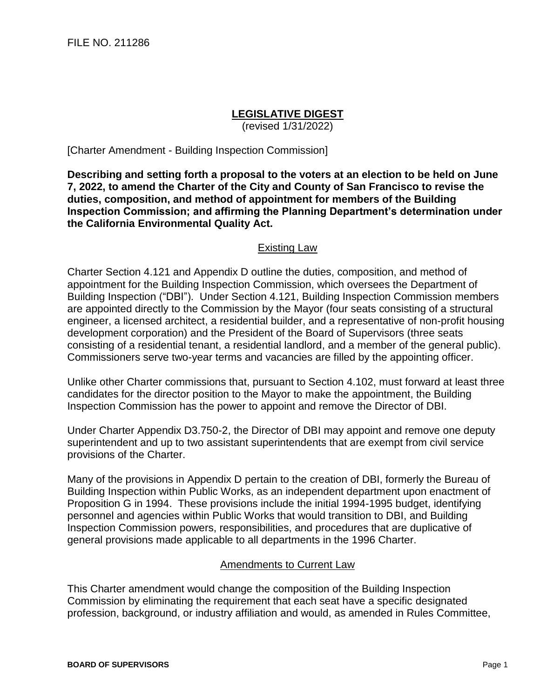## **LEGISLATIVE DIGEST**

(revised 1/31/2022)

[Charter Amendment - Building Inspection Commission]

**Describing and setting forth a proposal to the voters at an election to be held on June 7, 2022, to amend the Charter of the City and County of San Francisco to revise the duties, composition, and method of appointment for members of the Building Inspection Commission; and affirming the Planning Department's determination under the California Environmental Quality Act.**

## Existing Law

Charter Section 4.121 and Appendix D outline the duties, composition, and method of appointment for the Building Inspection Commission, which oversees the Department of Building Inspection ("DBI"). Under Section 4.121, Building Inspection Commission members are appointed directly to the Commission by the Mayor (four seats consisting of a structural engineer, a licensed architect, a residential builder, and a representative of non-profit housing development corporation) and the President of the Board of Supervisors (three seats consisting of a residential tenant, a residential landlord, and a member of the general public). Commissioners serve two-year terms and vacancies are filled by the appointing officer.

Unlike other Charter commissions that, pursuant to Section 4.102, must forward at least three candidates for the director position to the Mayor to make the appointment, the Building Inspection Commission has the power to appoint and remove the Director of DBI.

Under Charter Appendix D3.750-2, the Director of DBI may appoint and remove one deputy superintendent and up to two assistant superintendents that are exempt from civil service provisions of the Charter.

Many of the provisions in Appendix D pertain to the creation of DBI, formerly the Bureau of Building Inspection within Public Works, as an independent department upon enactment of Proposition G in 1994. These provisions include the initial 1994-1995 budget, identifying personnel and agencies within Public Works that would transition to DBI, and Building Inspection Commission powers, responsibilities, and procedures that are duplicative of general provisions made applicable to all departments in the 1996 Charter.

## Amendments to Current Law

This Charter amendment would change the composition of the Building Inspection Commission by eliminating the requirement that each seat have a specific designated profession, background, or industry affiliation and would, as amended in Rules Committee,